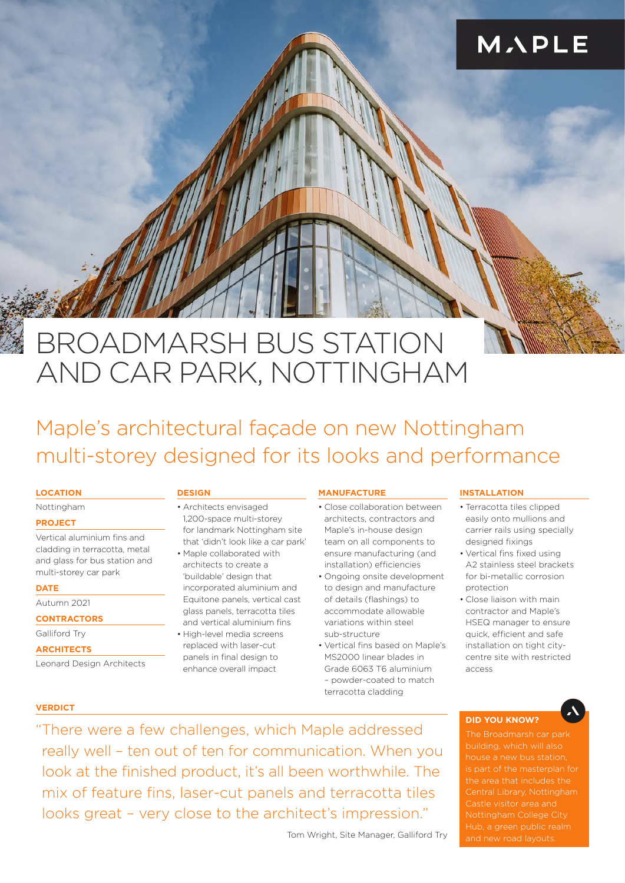## MAPLE

# BROADMARSH BUS STATION AND CAR PARK, NOTTINGHAM

### Maple's architectural façade on new Nottingham multi-storey designed for its looks and performance

#### **LOCATION**

#### Nottingham

#### **PROJECT**

Vertical aluminium fins and cladding in terracotta, metal and glass for bus station and multi-storey car park

#### **DATE**

### Autumn 2021

**CONTRACTORS**

Galliford Try

#### **ARCHITECTS**

Leonard Design Architects

#### **DESIGN**

• Architects envisaged 1,200-space multi-storey for landmark Nottingham site that 'didn't look like a car park'

- Maple collaborated with architects to create a 'buildable' design that incorporated aluminium and Equitone panels, vertical cast glass panels, terracotta tiles and vertical aluminium fins
- High-level media screens replaced with laser-cut panels in final design to enhance overall impact

#### **MANUFACTURE**

- Close collaboration between architects, contractors and Maple's in-house design team on all components to ensure manufacturing (and installation) efficiencies
- Ongoing onsite development to design and manufacture of details (flashings) to accommodate allowable variations within steel sub-structure
- Vertical fins based on Maple's MS2000 linear blades in Grade 6063 T6 aluminium – powder-coated to match terracotta cladding

#### **INSTALLATION**

- Terracotta tiles clipped easily onto mullions and carrier rails using specially designed fixings
- Vertical fins fixed using A2 stainless steel brackets for bi-metallic corrosion protection
- Close liaison with main contractor and Maple's HSEQ manager to ensure quick, efficient and safe installation on tight citycentre site with restricted access

#### **VERDICT**

"There were a few challenges, which Maple addressed really well – ten out of ten for communication. When you look at the finished product, it's all been worthwhile. The mix of feature fins, laser-cut panels and terracotta tiles looks great – very close to the architect's impression."

Tom Wright, Site Manager, Galliford Try

#### **DID YOU KNOW?**

The Broadmarsh car park building, which will also is part of the masterplan for the area that includes the Central Library, Nottingham Castle visitor area and